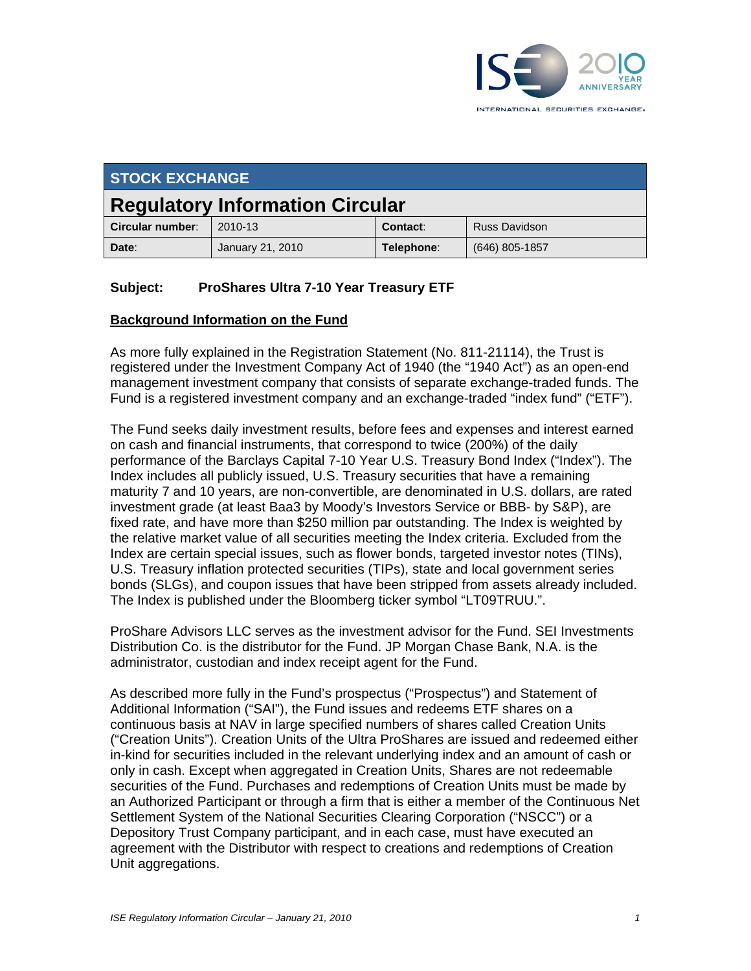

| <b>STOCK EXCHANGE</b>                  |                  |            |                      |
|----------------------------------------|------------------|------------|----------------------|
| <b>Regulatory Information Circular</b> |                  |            |                      |
| Circular number:                       | 2010-13          | Contact:   | <b>Russ Davidson</b> |
| Date:                                  | January 21, 2010 | Telephone: | $(646)$ 805-1857     |

### **Subject: ProShares Ultra 7-10 Year Treasury ETF**

#### **Background Information on the Fund**

As more fully explained in the Registration Statement (No. 811-21114), the Trust is registered under the Investment Company Act of 1940 (the "1940 Act") as an open-end management investment company that consists of separate exchange-traded funds. The Fund is a registered investment company and an exchange-traded "index fund" ("ETF").

The Fund seeks daily investment results, before fees and expenses and interest earned on cash and financial instruments, that correspond to twice (200%) of the daily performance of the Barclays Capital 7-10 Year U.S. Treasury Bond Index ("Index"). The Index includes all publicly issued, U.S. Treasury securities that have a remaining maturity 7 and 10 years, are non-convertible, are denominated in U.S. dollars, are rated investment grade (at least Baa3 by Moody's Investors Service or BBB- by S&P), are fixed rate, and have more than \$250 million par outstanding. The Index is weighted by the relative market value of all securities meeting the Index criteria. Excluded from the Index are certain special issues, such as flower bonds, targeted investor notes (TINs), U.S. Treasury inflation protected securities (TIPs), state and local government series bonds (SLGs), and coupon issues that have been stripped from assets already included. The Index is published under the Bloomberg ticker symbol "LT09TRUU.".

ProShare Advisors LLC serves as the investment advisor for the Fund. SEI Investments Distribution Co. is the distributor for the Fund. JP Morgan Chase Bank, N.A. is the administrator, custodian and index receipt agent for the Fund.

As described more fully in the Fund's prospectus ("Prospectus") and Statement of Additional Information ("SAI"), the Fund issues and redeems ETF shares on a continuous basis at NAV in large specified numbers of shares called Creation Units ("Creation Units"). Creation Units of the Ultra ProShares are issued and redeemed either in-kind for securities included in the relevant underlying index and an amount of cash or only in cash. Except when aggregated in Creation Units, Shares are not redeemable securities of the Fund. Purchases and redemptions of Creation Units must be made by an Authorized Participant or through a firm that is either a member of the Continuous Net Settlement System of the National Securities Clearing Corporation ("NSCC") or a Depository Trust Company participant, and in each case, must have executed an agreement with the Distributor with respect to creations and redemptions of Creation Unit aggregations.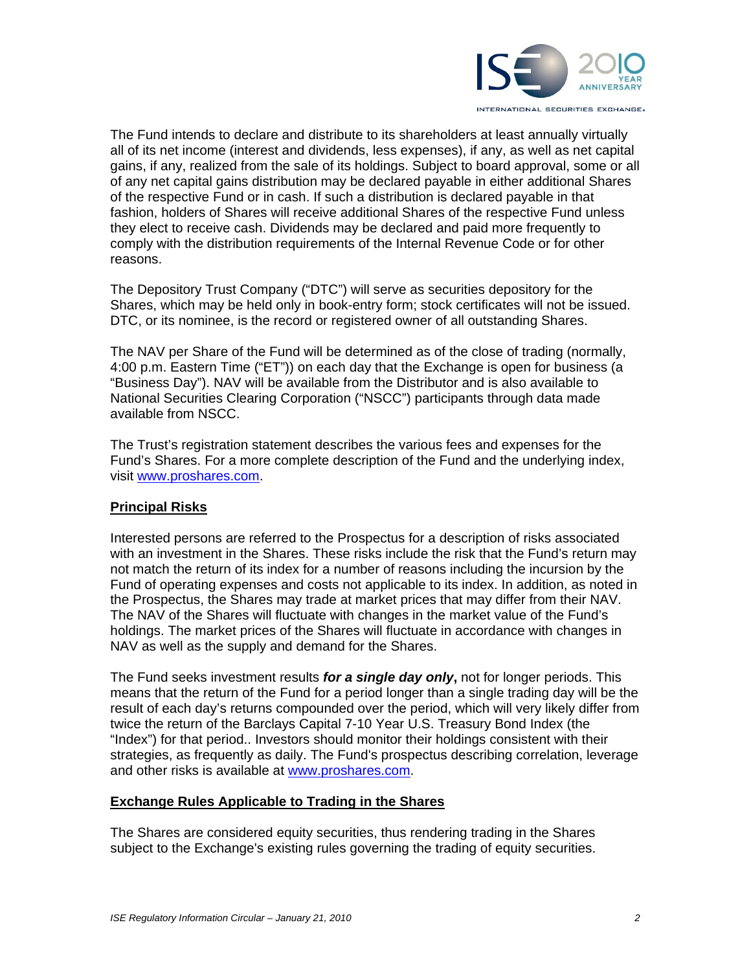

The Fund intends to declare and distribute to its shareholders at least annually virtually all of its net income (interest and dividends, less expenses), if any, as well as net capital gains, if any, realized from the sale of its holdings. Subject to board approval, some or all of any net capital gains distribution may be declared payable in either additional Shares of the respective Fund or in cash. If such a distribution is declared payable in that fashion, holders of Shares will receive additional Shares of the respective Fund unless they elect to receive cash. Dividends may be declared and paid more frequently to comply with the distribution requirements of the Internal Revenue Code or for other reasons.

The Depository Trust Company ("DTC") will serve as securities depository for the Shares, which may be held only in book-entry form; stock certificates will not be issued. DTC, or its nominee, is the record or registered owner of all outstanding Shares.

The NAV per Share of the Fund will be determined as of the close of trading (normally, 4:00 p.m. Eastern Time ("ET")) on each day that the Exchange is open for business (a "Business Day"). NAV will be available from the Distributor and is also available to National Securities Clearing Corporation ("NSCC") participants through data made available from NSCC.

The Trust's registration statement describes the various fees and expenses for the Fund's Shares. For a more complete description of the Fund and the underlying index, visit www.proshares.com.

### **Principal Risks**

Interested persons are referred to the Prospectus for a description of risks associated with an investment in the Shares. These risks include the risk that the Fund's return may not match the return of its index for a number of reasons including the incursion by the Fund of operating expenses and costs not applicable to its index. In addition, as noted in the Prospectus, the Shares may trade at market prices that may differ from their NAV. The NAV of the Shares will fluctuate with changes in the market value of the Fund's holdings. The market prices of the Shares will fluctuate in accordance with changes in NAV as well as the supply and demand for the Shares.

The Fund seeks investment results *for a single day only***,** not for longer periods. This means that the return of the Fund for a period longer than a single trading day will be the result of each day's returns compounded over the period, which will very likely differ from twice the return of the Barclays Capital 7-10 Year U.S. Treasury Bond Index (the "Index") for that period.. Investors should monitor their holdings consistent with their strategies, as frequently as daily. The Fund's prospectus describing correlation, leverage and other risks is available at www.proshares.com.

#### **Exchange Rules Applicable to Trading in the Shares**

The Shares are considered equity securities, thus rendering trading in the Shares subject to the Exchange's existing rules governing the trading of equity securities.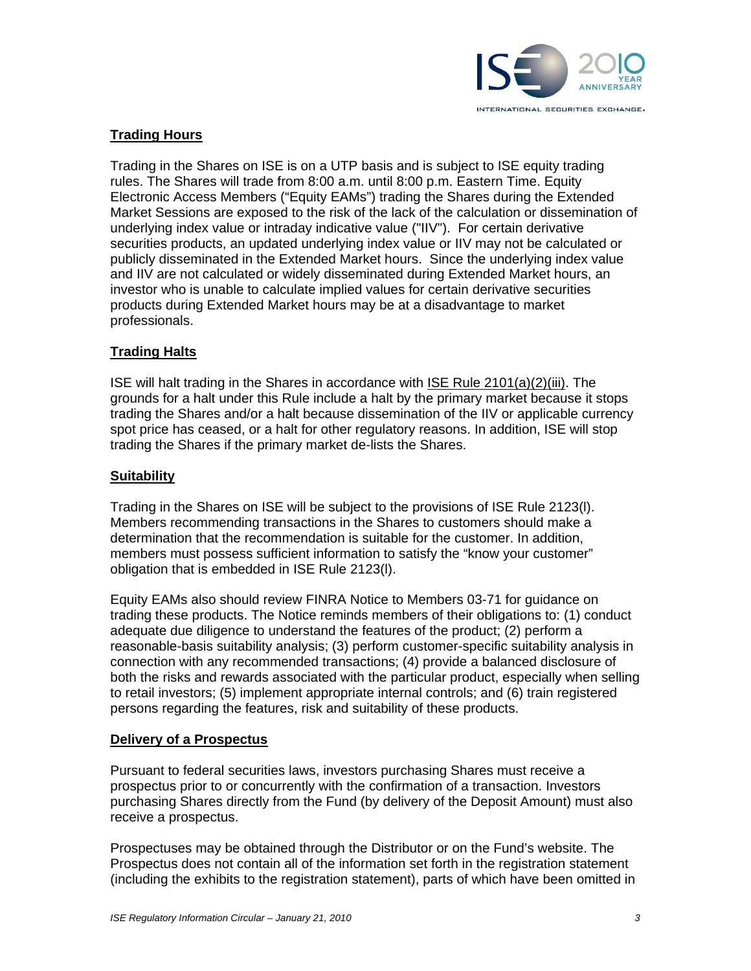

# **Trading Hours**

Trading in the Shares on ISE is on a UTP basis and is subject to ISE equity trading rules. The Shares will trade from 8:00 a.m. until 8:00 p.m. Eastern Time. Equity Electronic Access Members ("Equity EAMs") trading the Shares during the Extended Market Sessions are exposed to the risk of the lack of the calculation or dissemination of underlying index value or intraday indicative value ("IIV"). For certain derivative securities products, an updated underlying index value or IIV may not be calculated or publicly disseminated in the Extended Market hours. Since the underlying index value and IIV are not calculated or widely disseminated during Extended Market hours, an investor who is unable to calculate implied values for certain derivative securities products during Extended Market hours may be at a disadvantage to market professionals.

### **Trading Halts**

ISE will halt trading in the Shares in accordance with ISE Rule 2101(a)(2)(iii). The grounds for a halt under this Rule include a halt by the primary market because it stops trading the Shares and/or a halt because dissemination of the IIV or applicable currency spot price has ceased, or a halt for other regulatory reasons. In addition, ISE will stop trading the Shares if the primary market de-lists the Shares.

#### **Suitability**

Trading in the Shares on ISE will be subject to the provisions of ISE Rule 2123(l). Members recommending transactions in the Shares to customers should make a determination that the recommendation is suitable for the customer. In addition, members must possess sufficient information to satisfy the "know your customer" obligation that is embedded in ISE Rule 2123(l).

Equity EAMs also should review FINRA Notice to Members 03-71 for guidance on trading these products. The Notice reminds members of their obligations to: (1) conduct adequate due diligence to understand the features of the product; (2) perform a reasonable-basis suitability analysis; (3) perform customer-specific suitability analysis in connection with any recommended transactions; (4) provide a balanced disclosure of both the risks and rewards associated with the particular product, especially when selling to retail investors; (5) implement appropriate internal controls; and (6) train registered persons regarding the features, risk and suitability of these products.

#### **Delivery of a Prospectus**

Pursuant to federal securities laws, investors purchasing Shares must receive a prospectus prior to or concurrently with the confirmation of a transaction. Investors purchasing Shares directly from the Fund (by delivery of the Deposit Amount) must also receive a prospectus.

Prospectuses may be obtained through the Distributor or on the Fund's website. The Prospectus does not contain all of the information set forth in the registration statement (including the exhibits to the registration statement), parts of which have been omitted in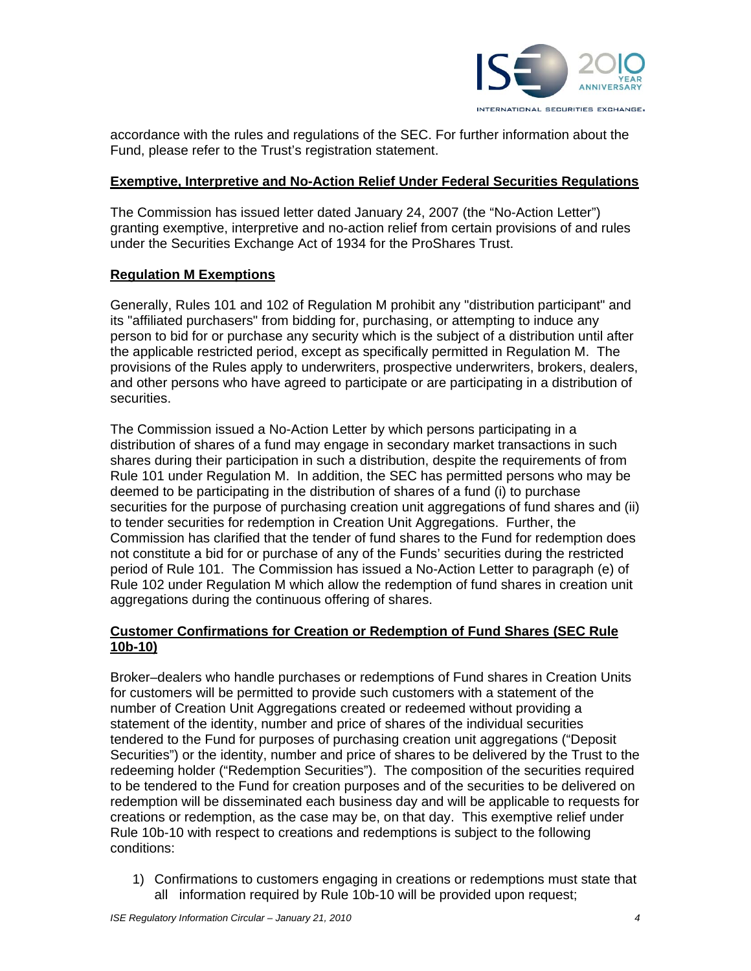

accordance with the rules and regulations of the SEC. For further information about the Fund, please refer to the Trust's registration statement.

#### **Exemptive, Interpretive and No-Action Relief Under Federal Securities Regulations**

The Commission has issued letter dated January 24, 2007 (the "No-Action Letter") granting exemptive, interpretive and no-action relief from certain provisions of and rules under the Securities Exchange Act of 1934 for the ProShares Trust.

### **Regulation M Exemptions**

Generally, Rules 101 and 102 of Regulation M prohibit any "distribution participant" and its "affiliated purchasers" from bidding for, purchasing, or attempting to induce any person to bid for or purchase any security which is the subject of a distribution until after the applicable restricted period, except as specifically permitted in Regulation M. The provisions of the Rules apply to underwriters, prospective underwriters, brokers, dealers, and other persons who have agreed to participate or are participating in a distribution of securities.

The Commission issued a No-Action Letter by which persons participating in a distribution of shares of a fund may engage in secondary market transactions in such shares during their participation in such a distribution, despite the requirements of from Rule 101 under Regulation M. In addition, the SEC has permitted persons who may be deemed to be participating in the distribution of shares of a fund (i) to purchase securities for the purpose of purchasing creation unit aggregations of fund shares and (ii) to tender securities for redemption in Creation Unit Aggregations. Further, the Commission has clarified that the tender of fund shares to the Fund for redemption does not constitute a bid for or purchase of any of the Funds' securities during the restricted period of Rule 101. The Commission has issued a No-Action Letter to paragraph (e) of Rule 102 under Regulation M which allow the redemption of fund shares in creation unit aggregations during the continuous offering of shares.

## **Customer Confirmations for Creation or Redemption of Fund Shares (SEC Rule 10b-10)**

Broker–dealers who handle purchases or redemptions of Fund shares in Creation Units for customers will be permitted to provide such customers with a statement of the number of Creation Unit Aggregations created or redeemed without providing a statement of the identity, number and price of shares of the individual securities tendered to the Fund for purposes of purchasing creation unit aggregations ("Deposit Securities") or the identity, number and price of shares to be delivered by the Trust to the redeeming holder ("Redemption Securities"). The composition of the securities required to be tendered to the Fund for creation purposes and of the securities to be delivered on redemption will be disseminated each business day and will be applicable to requests for creations or redemption, as the case may be, on that day. This exemptive relief under Rule 10b-10 with respect to creations and redemptions is subject to the following conditions:

1) Confirmations to customers engaging in creations or redemptions must state that all information required by Rule 10b-10 will be provided upon request;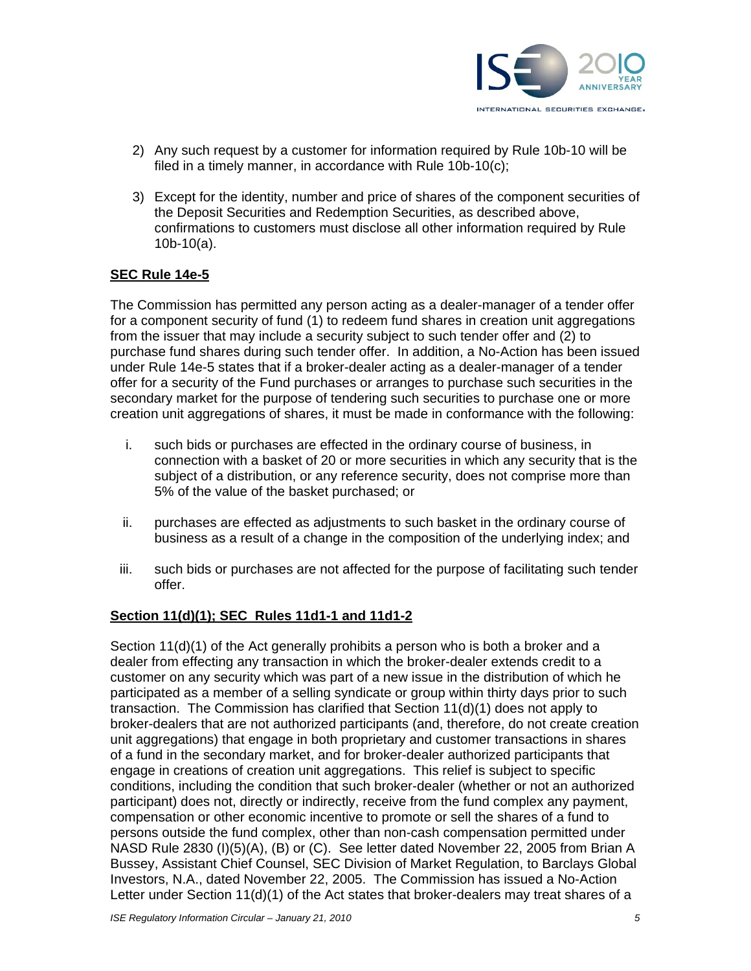

- 2) Any such request by a customer for information required by Rule 10b-10 will be filed in a timely manner, in accordance with Rule 10b-10(c);
- 3) Except for the identity, number and price of shares of the component securities of the Deposit Securities and Redemption Securities, as described above, confirmations to customers must disclose all other information required by Rule 10b-10(a).

### **SEC Rule 14e-5**

The Commission has permitted any person acting as a dealer-manager of a tender offer for a component security of fund (1) to redeem fund shares in creation unit aggregations from the issuer that may include a security subject to such tender offer and (2) to purchase fund shares during such tender offer. In addition, a No-Action has been issued under Rule 14e-5 states that if a broker-dealer acting as a dealer-manager of a tender offer for a security of the Fund purchases or arranges to purchase such securities in the secondary market for the purpose of tendering such securities to purchase one or more creation unit aggregations of shares, it must be made in conformance with the following:

- i. such bids or purchases are effected in the ordinary course of business, in connection with a basket of 20 or more securities in which any security that is the subject of a distribution, or any reference security, does not comprise more than 5% of the value of the basket purchased; or
- ii. purchases are effected as adjustments to such basket in the ordinary course of business as a result of a change in the composition of the underlying index; and
- iii. such bids or purchases are not affected for the purpose of facilitating such tender offer.

#### **Section 11(d)(1); SEC Rules 11d1-1 and 11d1-2**

Section 11(d)(1) of the Act generally prohibits a person who is both a broker and a dealer from effecting any transaction in which the broker-dealer extends credit to a customer on any security which was part of a new issue in the distribution of which he participated as a member of a selling syndicate or group within thirty days prior to such transaction. The Commission has clarified that Section 11(d)(1) does not apply to broker-dealers that are not authorized participants (and, therefore, do not create creation unit aggregations) that engage in both proprietary and customer transactions in shares of a fund in the secondary market, and for broker-dealer authorized participants that engage in creations of creation unit aggregations. This relief is subject to specific conditions, including the condition that such broker-dealer (whether or not an authorized participant) does not, directly or indirectly, receive from the fund complex any payment, compensation or other economic incentive to promote or sell the shares of a fund to persons outside the fund complex, other than non-cash compensation permitted under NASD Rule 2830 (I)(5)(A), (B) or (C). See letter dated November 22, 2005 from Brian A Bussey, Assistant Chief Counsel, SEC Division of Market Regulation, to Barclays Global Investors, N.A., dated November 22, 2005. The Commission has issued a No-Action Letter under Section 11(d)(1) of the Act states that broker-dealers may treat shares of a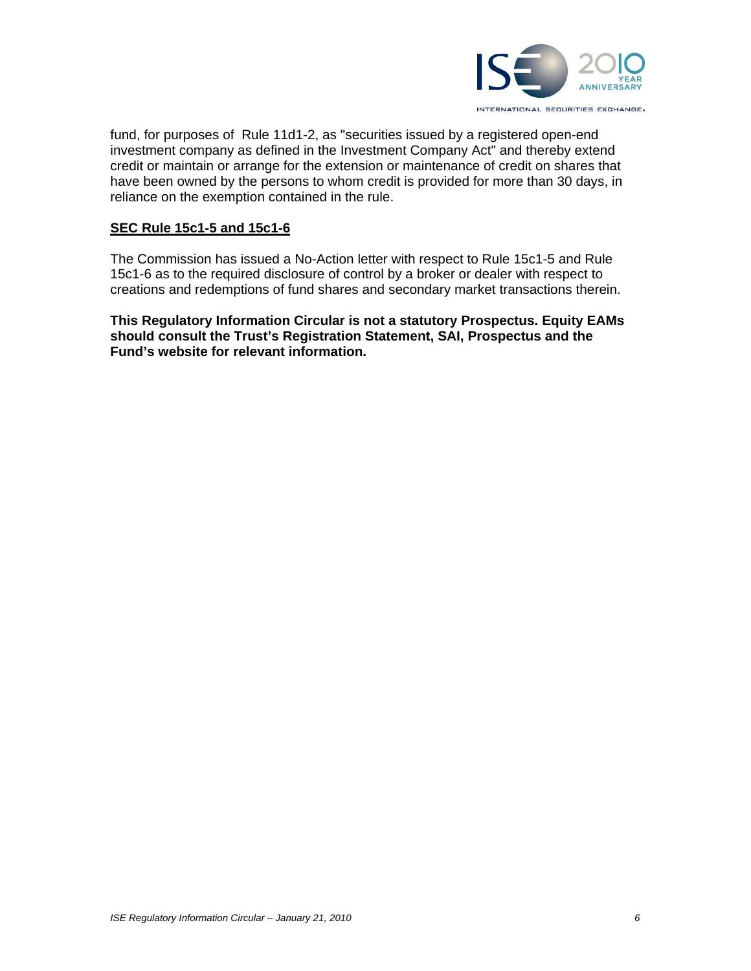

fund, for purposes of Rule 11d1-2, as "securities issued by a registered open-end investment company as defined in the Investment Company Act" and thereby extend credit or maintain or arrange for the extension or maintenance of credit on shares that have been owned by the persons to whom credit is provided for more than 30 days, in reliance on the exemption contained in the rule.

#### **SEC Rule 15c1-5 and 15c1-6**

The Commission has issued a No-Action letter with respect to Rule 15c1-5 and Rule 15c1-6 as to the required disclosure of control by a broker or dealer with respect to creations and redemptions of fund shares and secondary market transactions therein.

**This Regulatory Information Circular is not a statutory Prospectus. Equity EAMs should consult the Trust's Registration Statement, SAI, Prospectus and the Fund's website for relevant information.**